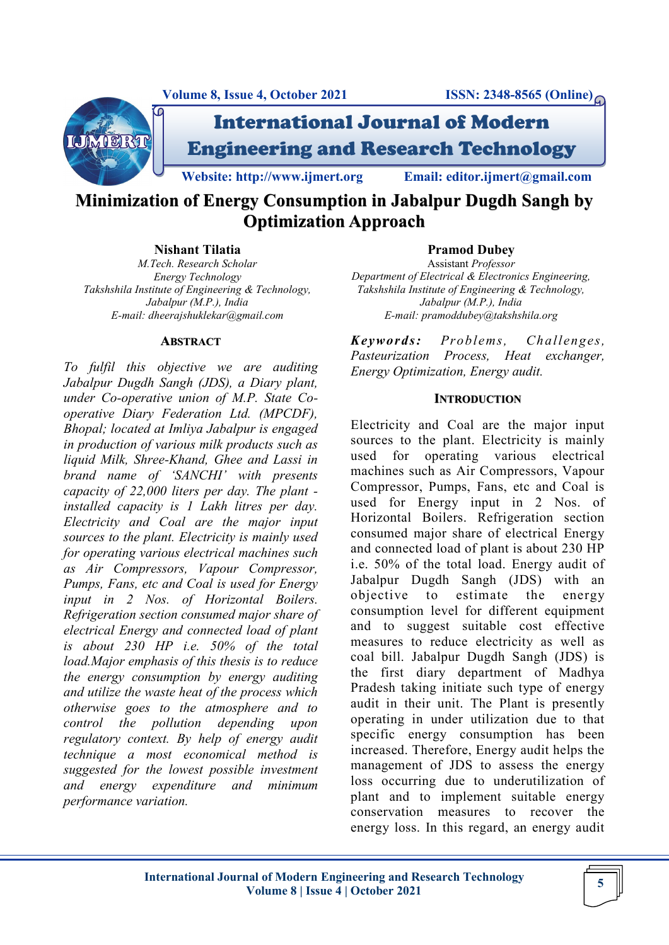



International Journal of Modern Engineering and Research Technology

**Website: http://www.ijmert.org Email: editor.ijmert@gmail.com**

# **Minimization of Energy Consumption in Jabalpur Dugdh Sangh by Optimization Approach**

#### **Nishant Tilatia**

*M.Tech. Research Scholar Energy Technology Takshshila Institute of Engineering & Technology, Jabalpur (M.P.), India E-mail: dheerajshuklekar@gmail.com*

#### **ABSTRACT**

*To fulfil this objective we are auditing Jabalpur Dugdh Sangh (JDS), a Diary plant, under Co-operative union of M.P. State Cooperative Diary Federation Ltd. (MPCDF), Bhopal; located at Imliya Jabalpur is engaged in production of various milk products such as liquid Milk, Shree-Khand, Ghee and Lassi in brand name of 'SANCHI' with presents capacity of 22,000 liters per day. The plant installed capacity is 1 Lakh litres per day. Electricity and Coal are the major input sources to the plant. Electricity is mainly used for operating various electrical machines such as Air Compressors, Vapour Compressor, Pumps, Fans, etc and Coal is used for Energy input in 2 Nos. of Horizontal Boilers. Refrigeration section consumed major share of electrical Energy and connected load of plant is about 230 HP i.e. 50% of the total load.Major emphasis of this thesis is to reduce the energy consumption by energy auditing and utilize the waste heat of the process which otherwise goes to the atmosphere and to control the pollution depending upon regulatory context. By help of energy audit technique a most economical method is suggested for the lowest possible investment and energy expenditure and minimum performance variation.*

## **Pramod Dubey**

Assistant *Professor Department of Electrical & Electronics Engineering, Takshshila Institute of Engineering & Technology, Jabalpur (M.P.), India E-mail: pramoddubey@takshshila.org*

*Keywords: Problems, Challenges, Pasteurization Process, Heat exchanger, Energy Optimization, Energy audit.*

## **INTRODUCTION**

Electricity and Coal are the major input sources to the plant. Electricity is mainly used for operating various electrical machines such as Air Compressors, Vapour Compressor, Pumps, Fans, etc and Coal is used for Energy input in 2 Nos. of Horizontal Boilers. Refrigeration section consumed major share of electrical Energy and connected load of plant is about 230 HP i.e. 50% of the total load. Energy audit of Jabalpur Dugdh Sangh (JDS) with an objective to estimate the energy consumption level for different equipment and to suggest suitable cost effective measures to reduce electricity as well as coal bill. Jabalpur Dugdh Sangh (JDS) is the first diary department of Madhya Pradesh taking initiate such type of energy audit in their unit. The Plant is presently operating in under utilization due to that specific energy consumption has been increased. Therefore, Energy audit helps the management of JDS to assess the energy loss occurring due to underutilization of plant and to implement suitable energy conservation measures to recover the energy loss. In this regard, an energy audit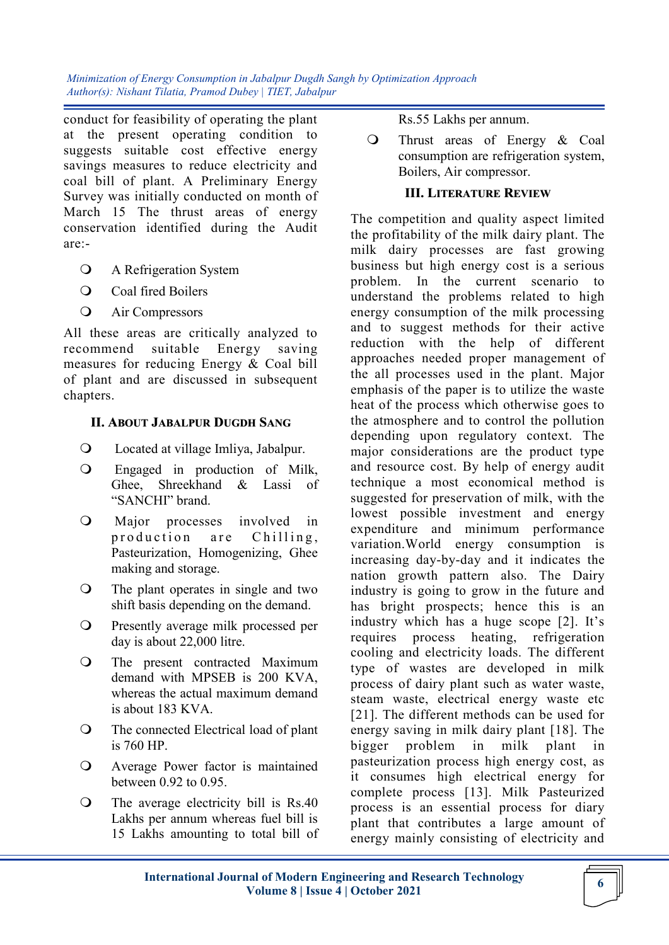conduct for feasibility of operating the plant at the present operating condition to suggests suitable cost effective energy savings measures to reduce electricity and coal bill of plant. A Preliminary Energy Survey was initially conducted on month of March 15 The thrust areas of energy conservation identified during the Audit are:-

- A Refrigeration System
- O Coal fired Boilers
- Air Compressors

All these areas are critically analyzed to recommend suitable Energy saving measures for reducing Energy & Coal bill of plant and are discussed in subsequent chapters.

## **II. ABOUT JABALPUR DUGDH SANG**

- Located at village Imliya, Jabalpur.
- Engaged in production of Milk, Ghee, Shreekhand & Lassi of "SANCHI" brand.
- Major processes involved in production are Chilling, Pasteurization, Homogenizing, Ghee making and storage.
- The plant operates in single and two shift basis depending on the demand.
- O Presently average milk processed per day is about 22,000 litre.
- The present contracted Maximum demand with MPSEB is 200 KVA, whereas the actual maximum demand is about 183 KVA.
- The connected Electrical load of plant is 760 HP.
- Average Power factor is maintained between 0.92 to 0.95.
- The average electricity bill is Rs.40 Lakhs per annum whereas fuel bill is 15 Lakhs amounting to total bill of

Rs.55 Lakhs per annum.

 Thrust areas of Energy & Coal consumption are refrigeration system, Boilers, Air compressor.

#### **III. LITERATURE REVIEW**

The competition and quality aspect limited the profitability of the milk dairy plant. The milk dairy processes are fast growing business but high energy cost is a serious problem. In the current scenario to understand the problems related to high energy consumption of the milk processing and to suggest methods for their active reduction with the help of different approaches needed proper management of the all processes used in the plant. Major emphasis of the paper is to utilize the waste heat of the process which otherwise goes to the atmosphere and to control the pollution depending upon regulatory context. The major considerations are the product type and resource cost. By help of energy audit technique a most economical method is suggested for preservation of milk, with the lowest possible investment and energy expenditure and minimum performance variation.World energy consumption is increasing day-by-day and it indicates the nation growth pattern also. The Dairy industry is going to grow in the future and has bright prospects; hence this is an industry which has a huge scope  $[2]$ . It's requires process heating, refrigeration cooling and electricity loads. The different type of wastes are developed in milk process of dairy plant such as water waste, steam waste, electrical energy waste etc [21]. The different methods can be used for energy saving in milk dairy plant [18]. The bigger problem in milk plant in pasteurization process high energy cost, as it consumes high electrical energy for complete process [13]. Milk Pasteurized process is an essential process for diary plant that contributes a large amount of energy mainly consisting of electricity and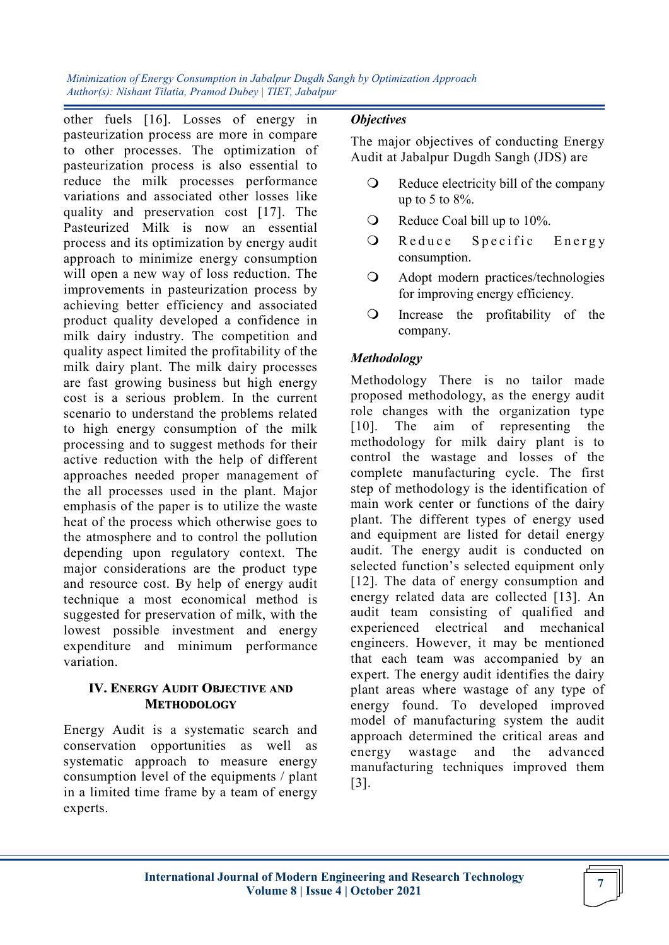other fuels [16]. Losses of energy in pasteurization process are more in compare to other processes. The optimization of pasteurization process is also essential to reduce the milk processes performance variations and associated other losses like quality and preservation cost [17]. The Pasteurized Milk is now an essential process and its optimization by energy audit approach to minimize energy consumption will open a new way of loss reduction. The improvements in pasteurization process by achieving better efficiency and associated product quality developed a confidence in milk dairy industry. The competition and quality aspect limited the profitability of the milk dairy plant. The milk dairy processes are fast growing business but high energy cost is a serious problem. In the current scenario to understand the problems related to high energy consumption of the milk processing and to suggest methods for their active reduction with the help of different approaches needed proper management of the all processes used in the plant. Major emphasis of the paper is to utilize the waste heat of the process which otherwise goes to the atmosphere and to control the pollution depending upon regulatory context. The major considerations are the product type and resource cost. By help of energy audit technique a most economical method is suggested for preservation of milk, with the lowest possible investment and energy expenditure and minimum performance variation.

## **IV. ENERGY AUDIT OBJECTIVE AND METHODOLOGY**

Energy Audit is a systematic search and conservation opportunities as well as systematic approach to measure energy consumption level of the equipments / plant in a limited time frame by a team of energy experts.

## *Objectives*

The major objectives of conducting Energy Audit at Jabalpur Dugdh Sangh (JDS) are

- Q Reduce electricity bill of the company up to 5 to  $8\%$ .
- Reduce Coal bill up to 10%.
- O Reduce Specific Energy consumption.
- Adopt modern practices/technologies for improving energy efficiency.
- Increase the profitability of the company.

## *Methodology*

Methodology There is no tailor made proposed methodology, as the energy audit role changes with the organization type [10]. The aim of representing the methodology for milk dairy plant is to control the wastage and losses of the complete manufacturing cycle. The first step of methodology is the identification of main work center or functions of the dairy plant. The different types of energy used and equipment are listed for detail energy audit. The energy audit is conducted on selected function's selected equipment only [12]. The data of energy consumption and energy related data are collected [13]. An audit team consisting of qualified and experienced electrical and mechanical engineers. However, it may be mentioned that each team was accompanied by an expert. The energy audit identifies the dairy plant areas where wastage of any type of energy found. To developed improved model of manufacturing system the audit approach determined the critical areas and energy wastage and the advanced manufacturing techniques improved them [3].

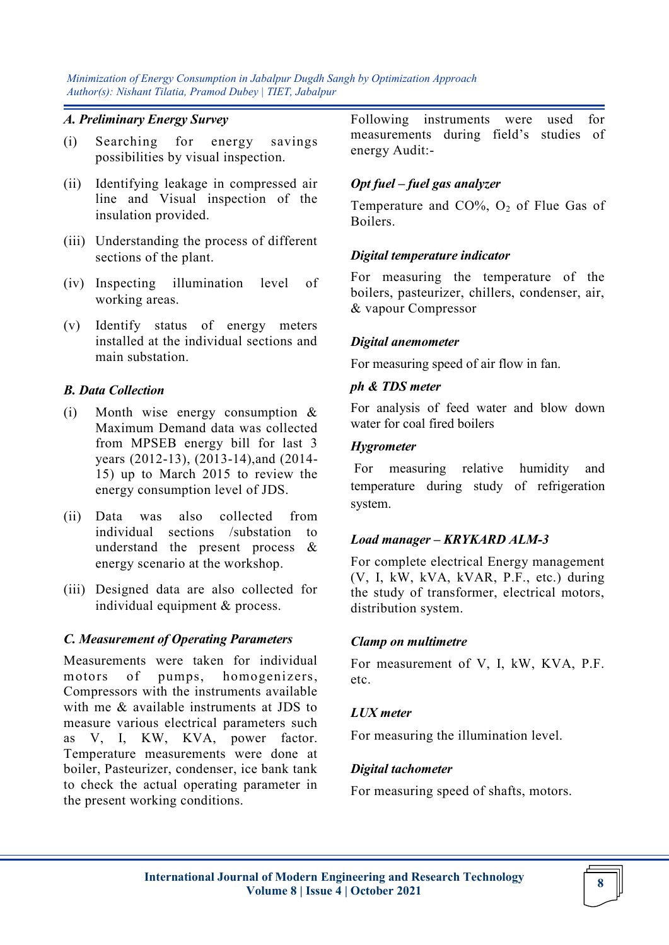#### *A. Preliminary Energy Survey*

- (i) Searching for energy savings possibilities by visual inspection.
- (ii) Identifying leakage in compressed air line and Visual inspection of the insulation provided.
- (iii) Understanding the process of different sections of the plant.
- (iv) Inspecting illumination level of working areas.
- (v) Identify status of energy meters installed at the individual sections and main substation.

## *B. Data Collection*

- (i) Month wise energy consumption & Maximum Demand data was collected from MPSEB energy bill for last 3 years (2012-13), (2013-14),and (2014- 15) up to March 2015 to review the energy consumption level of JDS.
- (ii) Data was also collected from individual sections /substation to understand the present process & energy scenario at the workshop.
- (iii) Designed data are also collected for individual equipment & process.

#### *C. Measurement of Operating Parameters*

Measurements were taken for individual motors of pumps, homogenizers, Compressors with the instruments available with me & available instruments at JDS to measure various electrical parameters such as V, I, KW, KVA, power factor. Temperature measurements were done at boiler, Pasteurizer, condenser, ice bank tank to check the actual operating parameter in the present working conditions.

Following instruments were used for measurements during field"s studies of energy Audit:-

### *Opt fuel – fuel gas analyzer*

Temperature and  $CO\%$ ,  $O_2$  of Flue Gas of Boilers.

#### *Digital temperature indicator*

For measuring the temperature of the boilers, pasteurizer, chillers, condenser, air, & vapour Compressor

#### *Digital anemometer*

For measuring speed of air flow in fan.

#### *ph & TDS meter*

For analysis of feed water and blow down water for coal fired boilers

#### *Hygrometer*

For measuring relative humidity and temperature during study of refrigeration system.

## *Load manager – KRYKARD ALM-3*

For complete electrical Energy management (V, I, kW, kVA, kVAR, P.F., etc.) during the study of transformer, electrical motors, distribution system.

## *Clamp on multimetre*

For measurement of V, I, kW, KVA, P.F. etc.

## *LUX meter*

For measuring the illumination level.

#### *Digital tachometer*

For measuring speed of shafts, motors.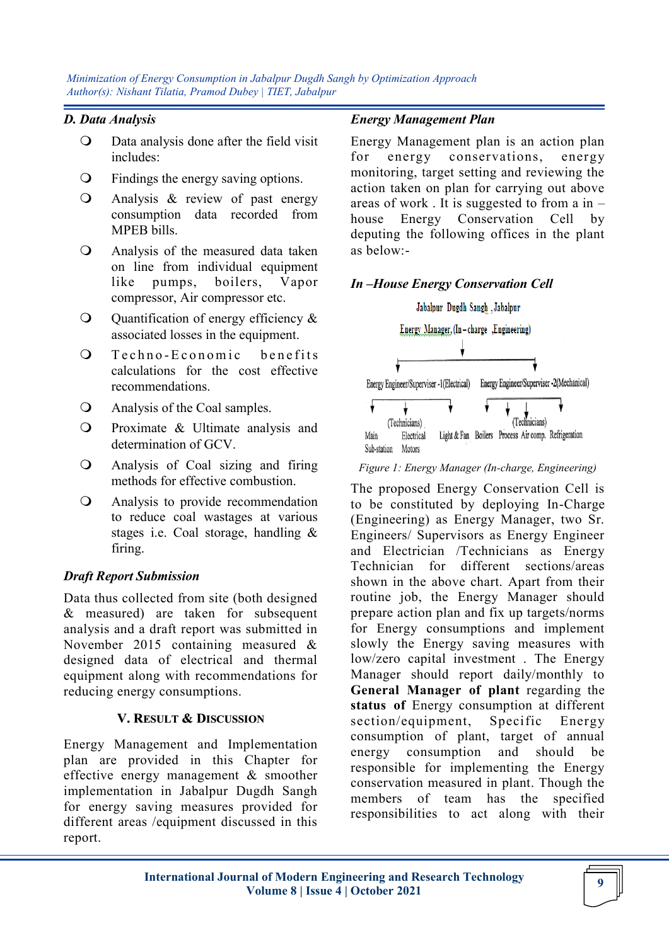### *D. Data Analysis*

- Data analysis done after the field visit includes:
- Findings the energy saving options.
- Analysis & review of past energy consumption data recorded from MPEB bills.
- Analysis of the measured data taken on line from individual equipment like pumps, boilers, Vapor compressor, Air compressor etc.
- Q Quantification of energy efficiency & associated losses in the equipment.
- O Techno-Economic benefits calculations for the cost effective recommendations.
- Analysis of the Coal samples.
- $\Omega$  Proximate & Ultimate analysis and determination of GCV.
- Analysis of Coal sizing and firing methods for effective combustion.
- Analysis to provide recommendation to reduce coal wastages at various stages i.e. Coal storage, handling & firing.

## *Draft Report Submission*

Data thus collected from site (both designed & measured) are taken for subsequent analysis and a draft report was submitted in November 2015 containing measured & designed data of electrical and thermal equipment along with recommendations for reducing energy consumptions.

## **V. RESULT & DISCUSSION**

Energy Management and Implementation plan are provided in this Chapter for effective energy management & smoother implementation in Jabalpur Dugdh Sangh for energy saving measures provided for different areas /equipment discussed in this report.

### *Energy Management Plan*

Energy Management plan is an action plan for energy conservations, energy monitoring, target setting and reviewing the action taken on plan for carrying out above areas of work . It is suggested to from a in – house Energy Conservation Cell by deputing the following offices in the plant as below:-

## *In –House Energy Conservation Cell*



#### *Figure 1: Energy Manager (In-charge, Engineering)*

The proposed Energy Conservation Cell is to be constituted by deploying In-Charge (Engineering) as Energy Manager, two Sr. Engineers/ Supervisors as Energy Engineer and Electrician /Technicians as Energy Technician for different sections/areas shown in the above chart. Apart from their routine job, the Energy Manager should prepare action plan and fix up targets/norms for Energy consumptions and implement slowly the Energy saving measures with low/zero capital investment . The Energy Manager should report daily/monthly to **General Manager of plant** regarding the **status of** Energy consumption at different section/equipment, Specific Energy consumption of plant, target of annual energy consumption and should be responsible for implementing the Energy conservation measured in plant. Though the members of team has the specified responsibilities to act along with their